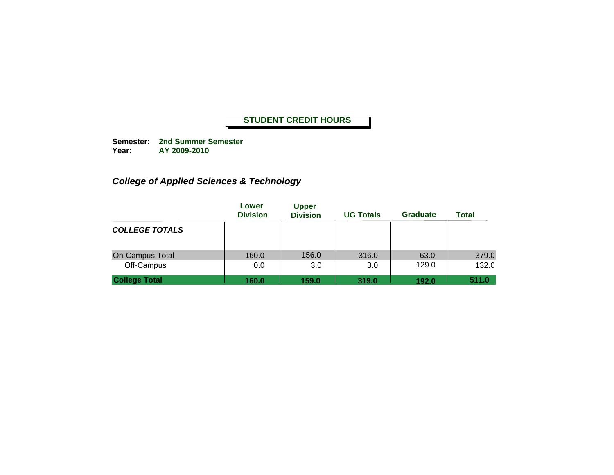**Semester: 2nd Summer Semester Year: AY 2009-2010**

# *College of Applied Sciences & Technology*

|                        | Lower<br><b>Division</b> | <b>Upper</b><br><b>Division</b> | <b>UG Totals</b> | <b>Graduate</b> | <b>Total</b> |
|------------------------|--------------------------|---------------------------------|------------------|-----------------|--------------|
| <b>COLLEGE TOTALS</b>  |                          |                                 |                  |                 |              |
| <b>On-Campus Total</b> | 160.0                    | 156.0                           | 316.0            | 63.0            | 379.0        |
| Off-Campus             | 0.0                      | 3.0                             | 3.0              | 129.0           | 132.0        |
| <b>College Total</b>   | 160.0                    | 159.0                           | 319.0            | 192.0           | 511.0        |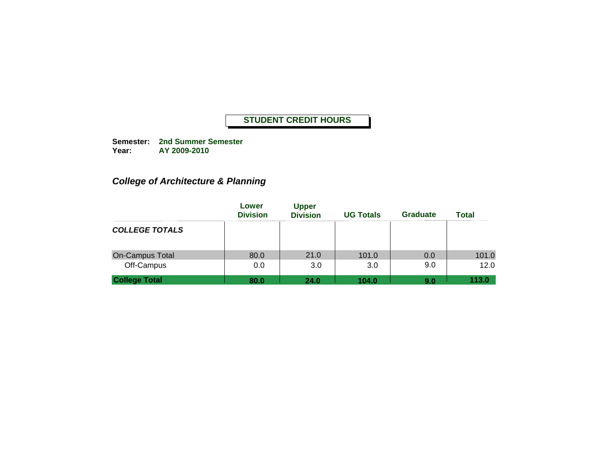**Semester: 2nd Summer Semester Year: AY 2009-2010**

# *College of Architecture & Planning*

|                        | Lower<br><b>Division</b> | <b>Upper</b><br><b>Division</b> | <b>UG Totals</b> | <b>Graduate</b> | <b>Total</b> |
|------------------------|--------------------------|---------------------------------|------------------|-----------------|--------------|
| <b>COLLEGE TOTALS</b>  |                          |                                 |                  |                 |              |
| <b>On-Campus Total</b> | 80.0                     | 21.0                            | 101.0            | 0.0             | 101.0        |
| Off-Campus             | 0.0                      | 3.0                             | 3.0              | 9.0             | 12.0         |
| <b>College Total</b>   | 80.0                     | 24.0                            | 104.0            | 9.0             | 113.0        |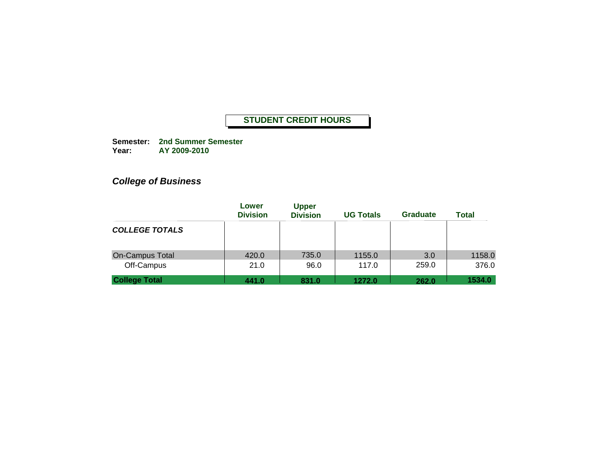**Semester: 2nd Summer Semester Year: AY 2009-2010**

# *College of Business*

| Lower<br><b>Division</b> | <b>Upper</b><br><b>Division</b> | <b>UG Totals</b> | <b>Graduate</b> | <b>Total</b>    |
|--------------------------|---------------------------------|------------------|-----------------|-----------------|
|                          |                                 |                  |                 |                 |
| 420.0                    | 735.0                           | 1155.0           | 3.0             | 1158.0          |
|                          |                                 |                  |                 | 376.0<br>1534.0 |
|                          | 21.0<br>441.0                   | 96.0<br>831.0    | 117.0<br>1272.0 | 259.0<br>262.0  |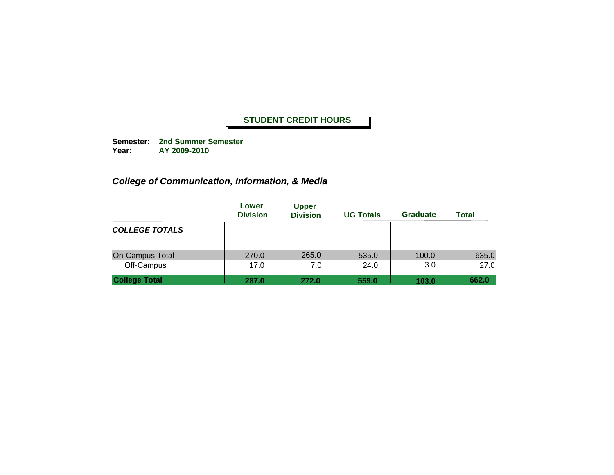**Semester: 2nd Summer Semester Year: AY 2009-2010**

# *College of Communication, Information, & Media*

|                        | Lower<br><b>Division</b> | <b>Upper</b><br><b>Division</b> | <b>UG Totals</b> | <b>Graduate</b> | <b>Total</b> |
|------------------------|--------------------------|---------------------------------|------------------|-----------------|--------------|
| <b>COLLEGE TOTALS</b>  |                          |                                 |                  |                 |              |
| <b>On-Campus Total</b> | 270.0                    | 265.0                           | 535.0            | 100.0           | 635.0        |
| Off-Campus             | 17.0                     | 7.0                             | 24.0             | 3.0             | 27.0         |
| <b>College Total</b>   | 287.0                    | 272.0                           | 559.0            | 103.0           | 662.0        |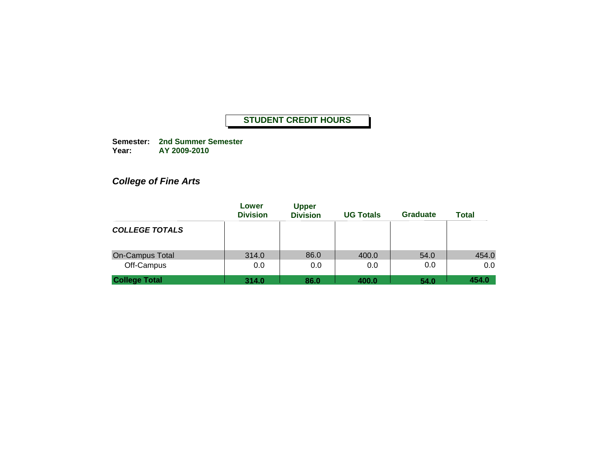**Semester: 2nd Summer Semester Year: AY 2009-2010**

# *College of Fine Arts*

|                                    | Lower<br><b>Division</b> | <b>Upper</b><br><b>Division</b> | <b>UG Totals</b> | <b>Graduate</b> | <b>Total</b> |
|------------------------------------|--------------------------|---------------------------------|------------------|-----------------|--------------|
| <b>COLLEGE TOTALS</b>              |                          |                                 |                  |                 |              |
| <b>On-Campus Total</b>             | 314.0                    | 86.0                            | 400.0            | 54.0            | 454.0        |
| Off-Campus<br><b>College Total</b> | 0.0<br>314.0             | 0.0<br>86.0                     | 0.0<br>400.0     | 0.0<br>54.0     | 0.0<br>454.0 |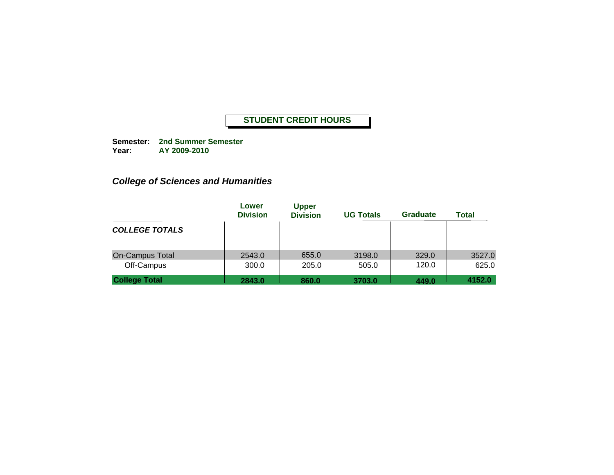**Semester: 2nd Summer Semester Year: AY 2009-2010**

# *College of Sciences and Humanities*

|                                    | Lower<br><b>Division</b> | <b>Upper</b><br><b>Division</b> | <b>UG Totals</b> | <b>Graduate</b> | <b>Total</b>    |
|------------------------------------|--------------------------|---------------------------------|------------------|-----------------|-----------------|
| <b>COLLEGE TOTALS</b>              |                          |                                 |                  |                 |                 |
| <b>On-Campus Total</b>             | 2543.0                   | 655.0                           | 3198.0           | 329.0           | 3527.0          |
| Off-Campus<br><b>College Total</b> | 300.0<br>2843.0          | 205.0<br>860.0                  | 505.0<br>3703.0  | 120.0<br>449.0  | 625.0<br>4152.0 |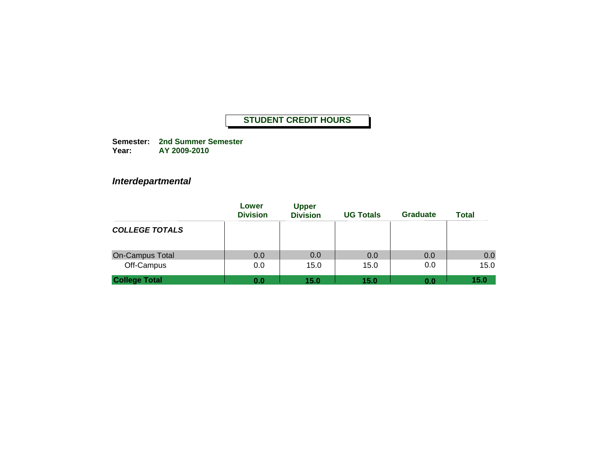**Semester: 2nd Summer Semester Year: AY 2009-2010**

### *Interdepartmental*

|                        | Lower<br><b>Division</b> | <b>Upper</b><br><b>Division</b> | <b>UG Totals</b> | <b>Graduate</b> | <b>Total</b> |
|------------------------|--------------------------|---------------------------------|------------------|-----------------|--------------|
| <b>COLLEGE TOTALS</b>  |                          |                                 |                  |                 |              |
| <b>On-Campus Total</b> | 0.0                      | 0.0                             | 0.0              | 0.0             | 0.0          |
| Off-Campus             | 0.0                      | 15.0                            | 15.0             | 0.0             | 15.0         |
| <b>College Total</b>   | 0.0                      | 15.0                            | 15.0             | 0.0             | 15.0         |